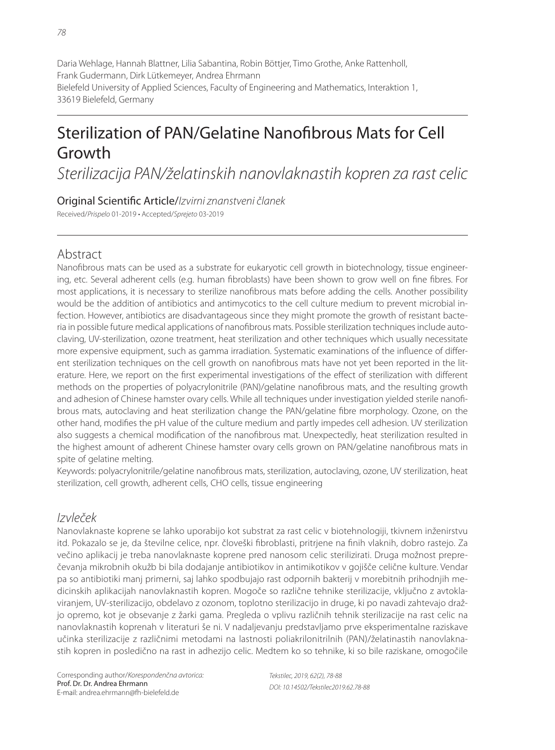Daria Wehlage, Hannah Blattner, Lilia Sabantina, Robin Böttjer, Timo Grothe, Anke Rattenholl, Frank Gudermann, Dirk Lütkemeyer, Andrea Ehrmann Bielefeld University of Applied Sciences, Faculty of Engineering and Mathematics, Interaktion 1, 33619 Bielefeld, Germany

# Sterilization of PAN/Gelatine Nanofibrous Mats for Cell Growth

Sterilizacija PAN/želatinskih nanovlaknastih kopren za rast celic

### Original Scientific Article/Izvirni znanstveni članek

Received/Prispelo 01-2019 • Accepted/Sprejeto 03-2019

# Abstract

Nanofibrous mats can be used as a substrate for eukaryotic cell growth in biotechnology, tissue engineering, etc. Several adherent cells (e.g. human fibroblasts) have been shown to grow well on fine fibres. For most applications, it is necessary to sterilize nanofibrous mats before adding the cells. Another possibility would be the addition of antibiotics and antimycotics to the cell culture medium to prevent microbial infection. However, antibiotics are disadvantageous since they might promote the growth of resistant bacteria in possible future medical applications of nanofibrous mats. Possible sterilization techniques include autoclaving, UV-sterilization, ozone treatment, heat sterilization and other techniques which usually necessitate more expensive equipment, such as gamma irradiation. Systematic examinations of the influence of different sterilization techniques on the cell growth on nanofibrous mats have not yet been reported in the literature. Here, we report on the first experimental investigations of the effect of sterilization with different methods on the properties of polyacrylonitrile (PAN)/gelatine nanofibrous mats, and the resulting growth and adhesion of Chinese hamster ovary cells. While all techniques under investigation yielded sterile nanofibrous mats, autoclaving and heat sterilization change the PAN/gelatine fibre morphology. Ozone, on the other hand, modifies the pH value of the culture medium and partly impedes cell adhesion. UV sterilization also suggests a chemical modification of the nanofibrous mat. Unexpectedly, heat sterilization resulted in the highest amount of adherent Chinese hamster ovary cells grown on PAN/gelatine nanofibrous mats in spite of gelatine melting.

Keywords: polyacrylonitrile/gelatine nanofibrous mats, sterilization, autoclaving, ozone, UV sterilization, heat sterilization, cell growth, adherent cells, CHO cells, tissue engineering

# Izvleček

Nanovlaknaste koprene se lahko uporabijo kot substrat za rast celic v biotehnologiji, tkivnem inženirstvu itd. Pokazalo se je, da številne celice, npr. človeški fibroblasti, pritrjene na finih vlaknih, dobro rastejo. Za večino aplikacij je treba nanovlaknaste koprene pred nanosom celic sterilizirati. Druga možnost preprečevanja mikrobnih okužb bi bila dodajanje antibiotikov in antimikotikov v gojišče celične kulture. Vendar pa so antibiotiki manj primerni, saj lahko spodbujajo rast odpornih bakterij v morebitnih prihodnjih medicinskih aplikacijah nanovlaknastih kopren. Mogoče so različne tehnike sterilizacije, vključno z avtoklaviranjem, UV-sterilizacijo, obdelavo z ozonom, toplotno sterilizacijo in druge, ki po navadi zahtevajo dražjo opremo, kot je obsevanje z žarki gama. Pregleda o vplivu različnih tehnik sterilizacije na rast celic na nanovlaknastih koprenah v literaturi še ni. V nadaljevanju predstavljamo prve eksperimentalne raziskave učinka sterilizacije z različnimi metodami na lastnosti poliakrilonitrilnih (PAN)/želatinastih nanovlaknastih kopren in posledično na rast in adhezijo celic. Medtem ko so tehnike, ki so bile raziskane, omogočile

Tekstilec, 2019, 62(2), 78-88 DOI: 10.14502/Tekstilec2019.62.78-88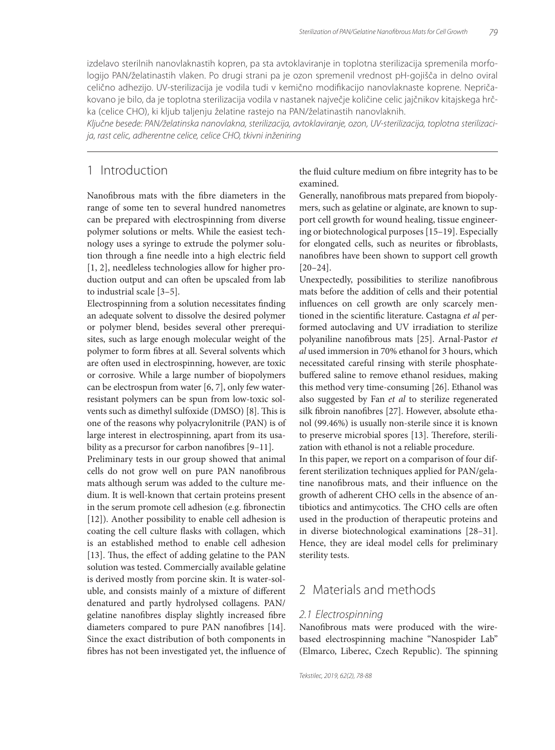izdelavo sterilnih nanovlaknastih kopren, pa sta avtoklaviranje in toplotna sterilizacija spremenila morfologijo PAN/želatinastih vlaken. Po drugi strani pa je ozon spremenil vrednost pH-gojišča in delno oviral celično adhezijo. UV-sterilizacija je vodila tudi v kemično modifikacijo nanovlaknaste koprene. Nepričakovano je bilo, da je toplotna sterilizacija vodila v nastanek največje količine celic jajčnikov kitajskega hrčka (celice CHO), ki kljub taljenju želatine rastejo na PAN/želatinastih nanovlaknih.

Ključne besede: PAN/želatinska nanovlakna, sterilizacija, avtoklaviranje, ozon, UV-sterilizacija, toplotna sterilizacija, rast celic, adherentne celice, celice CHO, tkivni inženiring

## 1 Introduction

Nanofibrous mats with the fibre diameters in the range of some ten to several hundred nanometres can be prepared with electrospinning from diverse polymer solutions or melts. While the easiest technology uses a syringe to extrude the polymer solution through a fine needle into a high electric field [1, 2], needleless technologies allow for higher production output and can often be upscaled from lab to industrial scale [3–5].

Electrospinning from a solution necessitates finding an adequate solvent to dissolve the desired polymer or polymer blend, besides several other prerequisites, such as large enough molecular weight of the polymer to form fibres at all. Several solvents which are often used in electrospinning, however, are toxic or corrosive. While a large number of biopolymers can be electrospun from water [6, 7], only few waterresistant polymers can be spun from low-toxic solvents such as dimethyl sulfoxide (DMSO) [8]. This is one of the reasons why polyacrylonitrile (PAN) is of large interest in electrospinning, apart from its usability as a precursor for carbon nanofibres  $[9-11]$ .

Preliminary tests in our group showed that animal cells do not grow well on pure PAN nanofibrous mats although serum was added to the culture medium. It is well-known that certain proteins present in the serum promote cell adhesion (e.g. fibronectin [12]). Another possibility to enable cell adhesion is coating the cell culture flasks with collagen, which is an established method to enable cell adhesion [13]. Thus, the effect of adding gelatine to the PAN solution was tested. Commercially available gelatine is derived mostly from porcine skin. It is water-soluble, and consists mainly of a mixture of different denatured and partly hydrolysed collagens. PAN/ gelatine nanofibres display slightly increased fibre diameters compared to pure PAN nanofibres [14]. Since the exact distribution of both components in fibres has not been investigated yet, the influence of the fluid culture medium on fibre integrity has to be examined.

Generally, nanofibrous mats prepared from biopolymers, such as gelatine or alginate, are known to support cell growth for wound healing, tissue engineering or biotechnological purposes [15–19]. Especially for elongated cells, such as neurites or fibroblasts, nanofibres have been shown to support cell growth [20–24].

Unexpectedly, possibilities to sterilize nanofibrous mats before the addition of cells and their potential influences on cell growth are only scarcely mentioned in the scientific literature. Castagna et al performed autoclaving and UV irradiation to sterilize polyaniline nanofibrous mats [25]. Arnal-Pastor *et al* used immersion in 70% ethanol for 3 hours, which necessitated careful rinsing with sterile phosphatebuffered saline to remove ethanol residues, making this method very time-consuming [26]. Ethanol was also suggested by Fan *et al* to sterilize regenerated silk fibroin nanofibres [27]. However, absolute ethanol (99.46%) is usually non-sterile since it is known to preserve microbial spores [13]. Therefore, sterilization with ethanol is not a reliable procedure.

In this paper, we report on a comparison of four different sterilization techniques applied for PAN/gelatine nanofibrous mats, and their influence on the growth of adherent CHO cells in the absence of antibiotics and antimycotics. The CHO cells are often used in the production of therapeutic proteins and in diverse biotechnological examinations [28–31]. Hence, they are ideal model cells for preliminary sterility tests.

## 2 Materials and methods

#### 2.1 Electrospinning

Nanofibrous mats were produced with the wirebased electrospinning machine "Nanospider Lab" (Elmarco, Liberec, Czech Republic). The spinning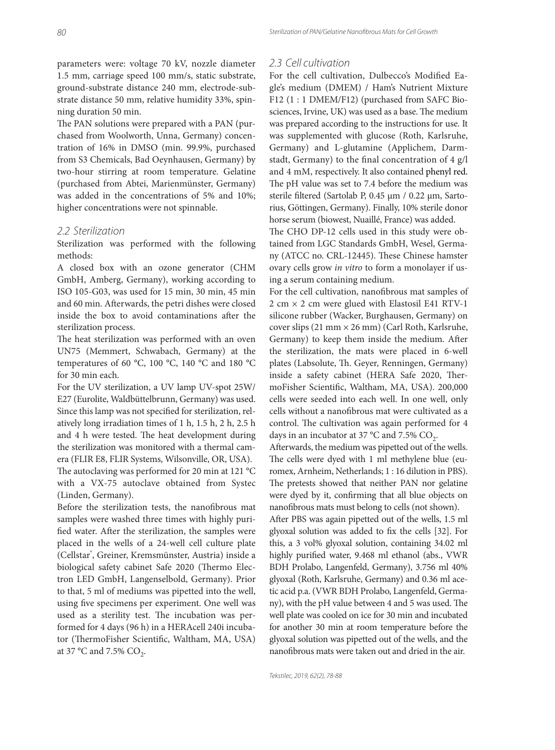parameters were: voltage 70 kV, nozzle diameter 1.5 mm, carriage speed 100 mm/s, static substrate, ground-substrate distance 240 mm, electrode-substrate distance 50 mm, relative humidity 33%, spinning duration 50 min.

The PAN solutions were prepared with a PAN (purchased from Woolworth, Unna, Germany) concentration of 16% in DMSO (min. 99.9%, purchased from S3 Chemicals, Bad Oeynhausen, Germany) by two-hour stirring at room temperature. Gelatine (purchased from Abtei, Marienmünster, Germany) was added in the concentrations of 5% and 10%; higher concentrations were not spinnable.

#### 2.2 Sterilization

Sterilization was performed with the following methods:

A closed box with an ozone generator (CHM GmbH, Amberg, Germany), working according to ISO 105-G03, was used for 15 min, 30 min, 45 min and 60 min. Afterwards, the petri dishes were closed inside the box to avoid contaminations after the sterilization process.

The heat sterilization was performed with an oven UN75 (Memmert, Schwabach, Germany) at the temperatures of 60 °C, 100 °C, 140 °C and 180 °C for 30 min each.

For the UV sterilization, a UV lamp UV-spot 25W/ E27 (Eurolite, Waldbüttelbrunn, Germany) was used. Since this lamp was not specified for sterilization, relatively long irradiation times of 1 h, 1.5 h, 2 h, 2.5 h and 4 h were tested. The heat development during the sterilization was monitored with a thermal camera (FLIR E8, FLIR Systems, Wilsonville, OR, USA). The autoclaving was performed for 20 min at 121  $^{\circ}$ C with a VX-75 autoclave obtained from Systec (Linden, Germany).

Before the sterilization tests, the nanofibrous mat samples were washed three times with highly purified water. After the sterilization, the samples were placed in the wells of a 24-well cell culture plate (Cellstar® , Greiner, Kremsmünster, Austria) inside a biological safety cabinet Safe 2020 (Thermo Electron LED GmbH, Langenselbold, Germany). Prior to that, 5 ml of mediums was pipetted into the well, using five specimens per experiment. One well was used as a sterility test. The incubation was performed for 4 days (96 h) in a HERAcell 240i incubator (ThermoFisher Scientific, Waltham, MA, USA) at 37 °C and 7.5%  $CO<sub>2</sub>$ .

#### 2.3 Cell cultivation

For the cell cultivation, Dulbecco's Modified Eagle's medium (DMEM) / Ham's Nutrient Mixture F12 (1 : 1 DMEM/F12) (purchased from SAFC Biosciences, Irvine, UK) was used as a base. The medium was prepared according to the instructions for use. It was supplemented with glucose (Roth, Karlsruhe, Germany) and L-glutamine (Applichem, Darmstadt, Germany) to the final concentration of  $4$  g/l and 4 mM, respectively. It also contained phenyl red. The pH value was set to 7.4 before the medium was sterile filtered (Sartolab P, 0.45 μm / 0.22 μm, Sartorius, Göttingen, Germany). Finally, 10% sterile donor horse serum (biowest, Nuaillé, France) was added.

The CHO DP-12 cells used in this study were obtained from LGC Standards GmbH, Wesel, Germany (ATCC no. CRL-12445). These Chinese hamster ovary cells grow *in vitro* to form a monolayer if using a serum containing medium.

For the cell cultivation, nanofibrous mat samples of 2 cm × 2 cm were glued with Elastosil E41 RTV-1 silicone rubber (Wacker, Burghausen, Germany) on cover slips (21 mm × 26 mm) (Carl Roth, Karlsruhe, Germany) to keep them inside the medium. After the sterilization, the mats were placed in 6-well plates (Labsolute, Th. Geyer, Renningen, Germany) inside a safety cabinet (HERA Safe 2020, ThermoFisher Scientific, Waltham, MA, USA). 200,000 cells were seeded into each well. In one well, only cells without a nanofibrous mat were cultivated as a control. The cultivation was again performed for 4 days in an incubator at 37  $^{\circ}$ C and 7.5% CO<sub>2</sub>.

Afterwards, the medium was pipetted out of the wells. The cells were dyed with 1 ml methylene blue (euromex, Arnheim, Netherlands; 1 : 16 dilution in PBS). The pretests showed that neither PAN nor gelatine were dyed by it, confirming that all blue objects on nanofibrous mats must belong to cells (not shown).

After PBS was again pipetted out of the wells, 1.5 ml glyoxal solution was added to fix the cells [32]. For this, a 3 vol% glyoxal solution, containing 34.02 ml highly purified water, 9.468 ml ethanol (abs., VWR BDH Prolabo, Langenfeld, Germany), 3.756 ml 40% glyoxal (Roth, Karlsruhe, Germany) and 0.36 ml acetic acid p.a. (VWR BDH Prolabo, Langenfeld, Germany), with the pH value between 4 and 5 was used. The well plate was cooled on ice for 30 min and incubated for another 30 min at room temperature before the glyoxal solution was pipetted out of the wells, and the nanofibrous mats were taken out and dried in the air.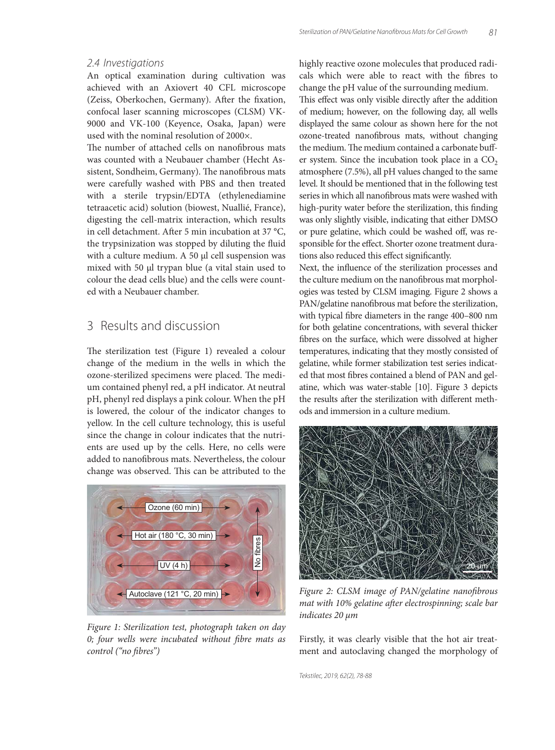#### 2.4 Investigations

An optical examination during cultivation was achieved with an Axiovert 40 CFL microscope (Zeiss, Oberkochen, Germany). After the fixation, confocal laser scanning microscopes (CLSM) VK-9000 and VK-100 (Keyence, Osaka, Japan) were used with the nominal resolution of 2000×.

The number of attached cells on nanofibrous mats was counted with a Neubauer chamber (Hecht Assistent, Sondheim, Germany). The nanofibrous mats were carefully washed with PBS and then treated with a sterile trypsin/EDTA (ethylenediamine tetraacetic acid) solution (biowest, Nuallié, France), digesting the cell-matrix interaction, which results in cell detachment. After 5 min incubation at 37  $^{\circ}C$ , the trypsinization was stopped by diluting the fluid with a culture medium. A 50 μl cell suspension was mixed with 50 μl trypan blue (a vital stain used to colour the dead cells blue) and the cells were counted with a Neubauer chamber.

## 3 Results and discussion

The sterilization test (Figure 1) revealed a colour change of the medium in the wells in which the ozone-sterilized specimens were placed. The medium contained phenyl red, a pH indicator. At neutral pH, phenyl red displays a pink colour. When the pH is lowered, the colour of the indicator changes to yellow. In the cell culture technology, this is useful since the change in colour indicates that the nutrients are used up by the cells. Here, no cells were added to nanofibrous mats. Nevertheless, the colour change was observed. This can be attributed to the



*Figure 1: Sterilization test, photograph taken on day*  0; four wells were incubated without fibre mats as *control ("no fi bres")*

highly reactive ozone molecules that produced radicals which were able to react with the fibres to change the pH value of the surrounding medium.

This effect was only visible directly after the addition of medium; however, on the following day, all wells displayed the same colour as shown here for the not ozone-treated nanofibrous mats, without changing the medium. The medium contained a carbonate buffer system. Since the incubation took place in a  $CO<sub>2</sub>$ atmosphere (7.5%), all pH values changed to the same level. It should be mentioned that in the following test series in which all nanofibrous mats were washed with high-purity water before the sterilization, this finding was only slightly visible, indicating that either DMSO or pure gelatine, which could be washed off, was responsible for the effect. Shorter ozone treatment durations also reduced this effect significantly.

Next, the influence of the sterilization processes and the culture medium on the nanofibrous mat morphologies was tested by CLSM imaging. Figure 2 shows a PAN/gelatine nanofibrous mat before the sterilization, with typical fibre diameters in the range 400-800 nm for both gelatine concentrations, with several thicker fibres on the surface, which were dissolved at higher temperatures, indicating that they mostly consisted of gelatine, while former stabilization test series indicated that most fibres contained a blend of PAN and gelatine, which was water-stable [10]. Figure 3 depicts the results after the sterilization with different methods and immersion in a culture medium.



Figure 2: CLSM image of PAN/gelatine nanofibrous mat with 10% gelatine after electrospinning; scale bar *indicates 20 μm*

Firstly, it was clearly visible that the hot air treatment and autoclaving changed the morphology of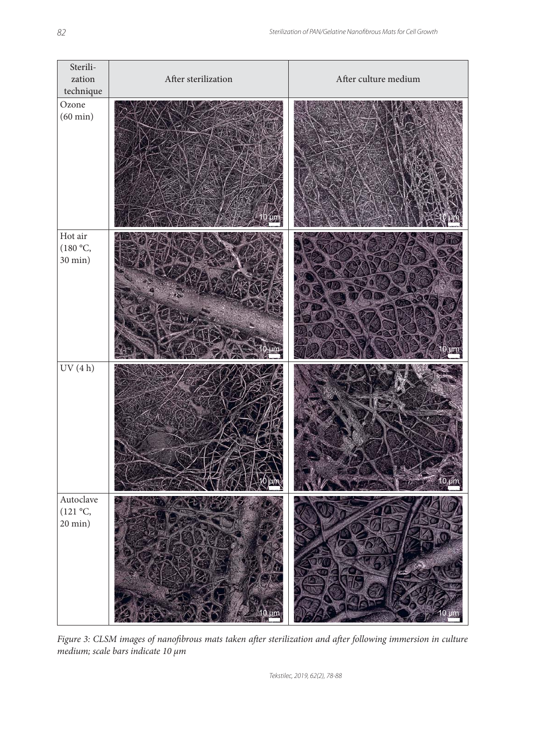| Sterili-<br>zation<br>$\rm technique$                | After sterilization | After culture medium |
|------------------------------------------------------|---------------------|----------------------|
| Ozone<br>$(60 \text{ min})$                          |                     |                      |
| Hot air<br>(180 °C,<br>$30 \text{ min}$ )            |                     |                      |
| $\mathrm{UV}\ (4\ \mathrm{h})$                       |                     | $10 \mu m$           |
| Autoclave<br>$(121 \degree C,$<br>$20 \text{ min}$ ) | um                  | um                   |

*Figure 3: CLSM images of nanofibrous mats taken after sterilization and after following immersion in culture medium; scale bars indicate 10 μm*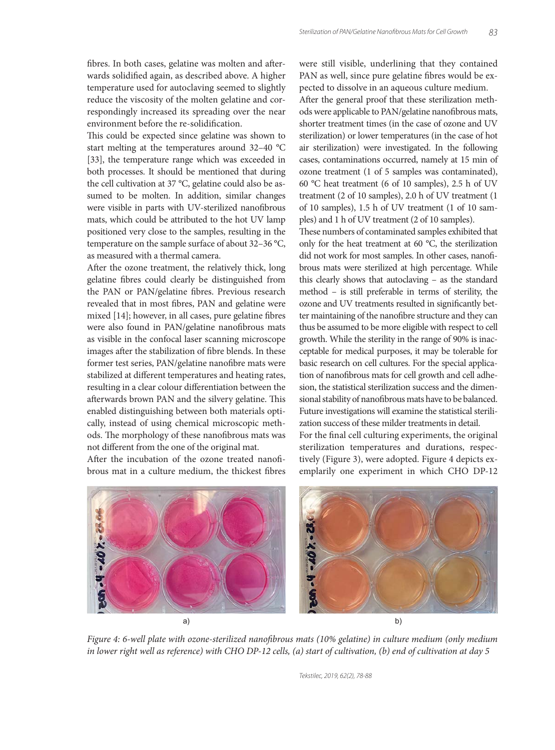fibres. In both cases, gelatine was molten and afterwards solidified again, as described above. A higher temperature used for autoclaving seemed to slightly reduce the viscosity of the molten gelatine and correspondingly increased its spreading over the near environment before the re-solidification.

This could be expected since gelatine was shown to start melting at the temperatures around 32–40 °C [33], the temperature range which was exceeded in both processes. It should be mentioned that during the cell cultivation at 37 °C, gelatine could also be assumed to be molten. In addition, similar changes were visible in parts with UV-sterilized nanofibrous mats, which could be attributed to the hot UV lamp positioned very close to the samples, resulting in the temperature on the sample surface of about 32–36 °C, as measured with a thermal camera.

After the ozone treatment, the relatively thick, long gelatine fibres could clearly be distinguished from the PAN or PAN/gelatine fibres. Previous research revealed that in most fibres, PAN and gelatine were mixed [14]; however, in all cases, pure gelatine fibres were also found in PAN/gelatine nanofibrous mats as visible in the confocal laser scanning microscope images after the stabilization of fibre blends. In these former test series, PAN/gelatine nanofibre mats were stabilized at different temperatures and heating rates, resulting in a clear colour differentiation between the afterwards brown PAN and the silvery gelatine. This enabled distinguishing between both materials optically, instead of using chemical microscopic methods. The morphology of these nanofibrous mats was not different from the one of the original mat.

After the incubation of the ozone treated nanofibrous mat in a culture medium, the thickest fibres were still visible, underlining that they contained PAN as well, since pure gelatine fibres would be expected to dissolve in an aqueous culture medium.

After the general proof that these sterilization methods were applicable to PAN/gelatine nanofibrous mats, shorter treatment times (in the case of ozone and UV sterilization) or lower temperatures (in the case of hot air sterilization) were investigated. In the following cases, contaminations occurred, namely at 15 min of ozone treatment (1 of 5 samples was contaminated), 60 °C heat treatment (6 of 10 samples), 2.5 h of UV treatment (2 of 10 samples), 2.0 h of UV treatment (1 of 10 samples), 1.5 h of UV treatment (1 of 10 samples) and 1 h of UV treatment (2 of 10 samples).

These numbers of contaminated samples exhibited that only for the heat treatment at 60 °C, the sterilization did not work for most samples. In other cases, nanofibrous mats were sterilized at high percentage. While this clearly shows that autoclaving – as the standard method – is still preferable in terms of sterility, the ozone and UV treatments resulted in significantly better maintaining of the nanofibre structure and they can thus be assumed to be more eligible with respect to cell growth. While the sterility in the range of 90% is inacceptable for medical purposes, it may be tolerable for basic research on cell cultures. For the special application of nanofibrous mats for cell growth and cell adhesion, the statistical sterilization success and the dimensional stability of nanofibrous mats have to be balanced. Future investigations will examine the statistical sterilization success of these milder treatments in detail.

For the final cell culturing experiments, the original sterilization temperatures and durations, respectively (Figure 3), were adopted. Figure 4 depicts exemplarily one experiment in which CHO DP-12



*Figure 4: 6-well plate with ozone-sterilized nanofibrous mats (10% gelatine) in culture medium (only medium in lower right well as reference) with CHO DP-12 cells, (a) start of cultivation, (b) end of cultivation at day 5*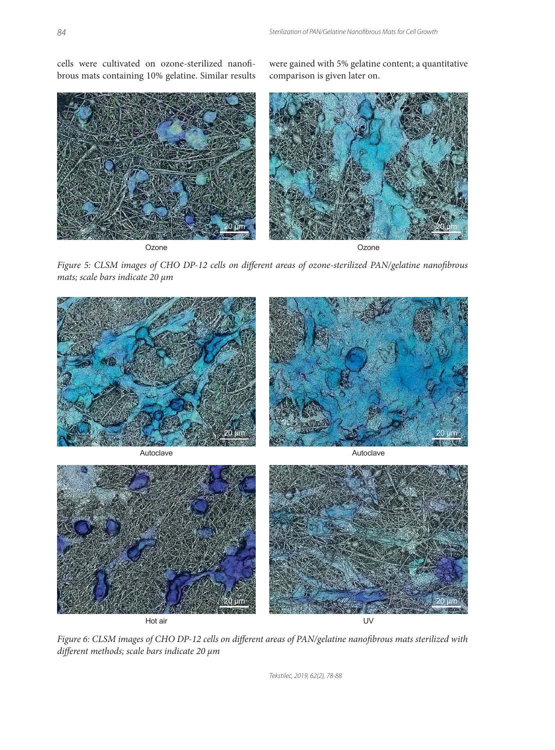cells were cultivated on ozone-sterilized nanofibrous mats containing 10% gelatine. Similar results were gained with 5% gelatine content; a quantitative comparison is given later on.



Ozone Ozone

20 μm







*Figure 6: CLSM images of CHO DP-12 cells on different areas of PAN/gelatine nanofibrous mats sterilized with diff erent methods; scale bars indicate 20 μm*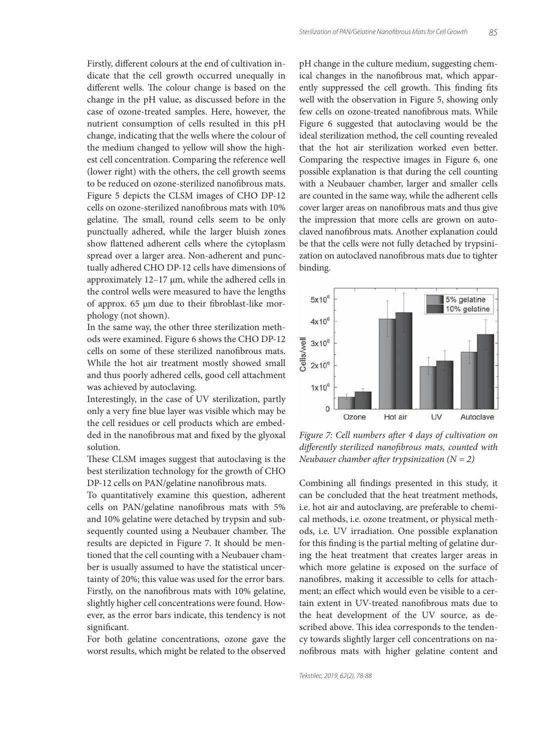Firstly, different colours at the end of cultivation indicate that the cell growth occurred unequally in different wells. The colour change is based on the change in the pH value, as discussed before in the case of ozone-treated samples. Here, however, the nutrient consumption of cells resulted in this pH change, indicating that the wells where the colour of the medium changed to yellow will show the highest cell concentration. Comparing the reference well (lower right) with the others, the cell growth seems to be reduced on ozone-sterilized nanofibrous mats. Figure 5 depicts the CLSM images of CHO DP-12 cells on ozone-sterilized nanofibrous mats with 10% gelatine. The small, round cells seem to be only punctually adhered, while the larger bluish zones show flattened adherent cells where the cytoplasm spread over a larger area. Non-adherent and punctually adhered CHO DP-12 cells have dimensions of approximately 12–17 μm, while the adhered cells in the control wells were measured to have the lengths of approx.  $65 \mu m$  due to their fibroblast-like morphology (not shown).

In the same way, the other three sterilization methods were examined. Figure 6 shows the CHO DP-12 cells on some of these sterilized nanofibrous mats. While the hot air treatment mostly showed small and thus poorly adhered cells, good cell attachment was achieved by autoclaving.

Interestingly, in the case of UV sterilization, partly only a very fine blue layer was visible which may be the cell residues or cell products which are embedded in the nanofibrous mat and fixed by the glyoxal solution.

These CLSM images suggest that autoclaving is the best sterilization technology for the growth of CHO DP-12 cells on PAN/gelatine nanofibrous mats.

To quantitatively examine this question, adherent cells on PAN/gelatine nanofibrous mats with 5% and 10% gelatine were detached by trypsin and subsequently counted using a Neubauer chamber. The results are depicted in Figure 7. It should be mentioned that the cell counting with a Neubauer chamber is usually assumed to have the statistical uncertainty of 20%; this value was used for the error bars. Firstly, on the nanofibrous mats with 10% gelatine, slightly higher cell concentrations were found. However, as the error bars indicate, this tendency is not significant.

For both gelatine concentrations, ozone gave the worst results, which might be related to the observed

pH change in the culture medium, suggesting chemical changes in the nanofibrous mat, which apparently suppressed the cell growth. This finding fits well with the observation in Figure 5, showing only few cells on ozone-treated nanofibrous mats. While Figure 6 suggested that autoclaving would be the ideal sterilization method, the cell counting revealed that the hot air sterilization worked even better. Comparing the respective images in Figure 6, one possible explanation is that during the cell counting with a Neubauer chamber, larger and smaller cells are counted in the same way, while the adherent cells cover larger areas on nanofibrous mats and thus give the impression that more cells are grown on autoclaved nanofibrous mats. Another explanation could be that the cells were not fully detached by trypsinization on autoclaved nanofibrous mats due to tighter binding.



Figure 7: Cell numbers after 4 days of cultivation on *diff erently sterilized nanofi brous mats, counted with Neubauer chamber after trypsinization*  $(N = 2)$ 

Combining all findings presented in this study, it can be concluded that the heat treatment methods, i.e. hot air and autoclaving, are preferable to chemical methods, i.e. ozone treatment, or physical methods, i.e. UV irradiation. One possible explanation for this finding is the partial melting of gelatine during the heat treatment that creates larger areas in which more gelatine is exposed on the surface of nanofibres, making it accessible to cells for attachment; an effect which would even be visible to a certain extent in UV-treated nanofibrous mats due to the heat development of the UV source, as described above. This idea corresponds to the tendency towards slightly larger cell concentrations on nanofibrous mats with higher gelatine content and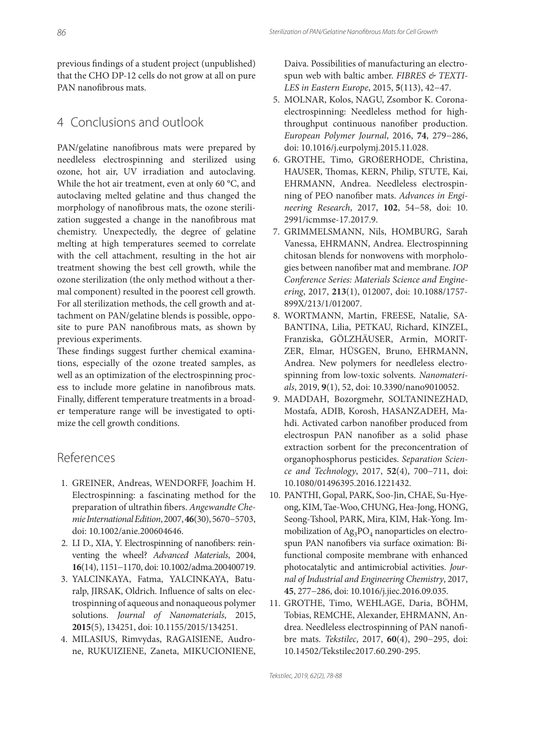previous findings of a student project (unpublished) that the CHO DP-12 cells do not grow at all on pure PAN nanofibrous mats.

## 4 Conclusions and outlook

PAN/gelatine nanofibrous mats were prepared by needleless electrospinning and sterilized using ozone, hot air, UV irradiation and autoclaving. While the hot air treatment, even at only 60 °C, and autoclaving melted gelatine and thus changed the morphology of nanofibrous mats, the ozone sterilization suggested a change in the nanofibrous mat chemistry. Unexpectedly, the degree of gelatine melting at high temperatures seemed to correlate with the cell attachment, resulting in the hot air treatment showing the best cell growth, while the ozone sterilization (the only method without a thermal component) resulted in the poorest cell growth. For all sterilization methods, the cell growth and attachment on PAN/gelatine blends is possible, opposite to pure PAN nanofibrous mats, as shown by previous experiments.

These findings suggest further chemical examinations, especially of the ozone treated samples, as well as an optimization of the electrospinning process to include more gelatine in nanofibrous mats. Finally, different temperature treatments in a broader temperature range will be investigated to optimize the cell growth conditions.

## References

- 1. GREINER, Andreas, WENDORFF, Joachim H. Electrospinning: a fascinating method for the preparation of ultrathin fibers. *Angewandte Chemie International Edition*, 2007, **46**(30), 5670−5703, doi: 10.1002/anie.200604646.
- 2. LI D., XIA, Y. Electrospinning of nanofibers: reinventing the wheel? *Advanced Materials*, 2004, **16**(14), 1151−1170, doi: 10.1002/adma.200400719.
- 3. YALCINKAYA, Fatma, YALCINKAYA, Baturalp, JIRSAK, Oldrich. Influence of salts on electrospinning of aqueous and nonaqueous polymer solutions. *Journal of Nanomaterials*, 2015, **2015**(5), 134251, doi: 10.1155/2015/134251.
- 4. MILASIUS, Rimvydas, RAGAISIENE, Audrone, RUKUIZIENE, Zaneta, MIKUCIONIENE,

Daiva. Possibilities of manufacturing an electrospun web with baltic amber. *FIBRES & TEXTI-LES in Eastern Europe*, 2015, **5**(113), 42−47.

- 5. MOLNAR, Kolos, NAGU, Zsombor K. Coronaelectrospinning: Needleless method for highthroughput continuous nanofiber production. *European Polymer Journal*, 2016, **74**, 279−286, doi: 10.1016/j.eurpolymj.2015.11.028.
- 6. GROTHE, Timo, GROßERHODE, Christina, HAUSER, Thomas, KERN, Philip, STUTE, Kai, EHRMANN, Andrea. Needleless electrospinning of PEO nanofiber mats. Advances in Engi*neering Research*, 2017, **102**, 54−58, doi: 10. 2991/icmmse-17.2017.9.
- 7. GRIMMELSMANN, Nils, HOMBURG, Sarah Vanessa, EHRMANN, Andrea. Electrospinning chitosan blends for nonwovens with morphologies between nanofiber mat and membrane. *IOP Conference Series: Materials Science and Engineering*, 2017, **213**(1), 012007, doi: 10.1088/1757- 899X/213/1/012007.
- 8. WORTMANN, Martin, FREESE, Natalie, SA-BANTINA, Lilia, PETKAU, Richard, KINZEL, Franziska, GÖLZHÄUSER, Armin, MORIT-ZER, Elmar, HÜSGEN, Bruno, EHRMANN, Andrea. New polymers for needleless electrospinning from low-toxic solvents. *Nanomaterials*, 2019, **9**(1), 52, doi: 10.3390/nano9010052.
- 9. MADDAH, Bozorgmehr, SOLTANINEZHAD, Mostafa, ADIB, Korosh, HASANZADEH, Mahdi. Activated carbon nanofiber produced from electrospun PAN nanofiber as a solid phase extraction sorbent for the preconcentration of organophosphorus pesticides. *Separation Science and Technology*, 2017, **52**(4), 700−711, doi: 10.1080/01496395.2016.1221432.
- 10. PANTHI, Gopal, PARK, Soo-Jin, CHAE, Su-Hyeong, KIM, Tae-Woo, CHUNG, Hea-Jong, HONG, Seong-Tshool, PARK, Mira, KIM, Hak-Yong. Immobilization of  $Ag_3PO_4$  nanoparticles on electrospun PAN nanofibers via surface oximation: Bifunctional composite membrane with enhanced photocatalytic and antimicrobial activities. *Journal of Industrial and Engineering Chemistry*, 2017, **45**, 277−286, doi: 10.1016/j.jiec.2016.09.035.
- 11. GROTHE, Timo, WEHLAGE, Daria, BÖHM, Tobias, REMCHE, Alexander, EHRMANN, Andrea. Needleless electrospinning of PAN nanofibre mats. *Tekstilec*, 2017, **60**(4), 290−295, doi: 10.14502/Tekstilec2017.60.290-295.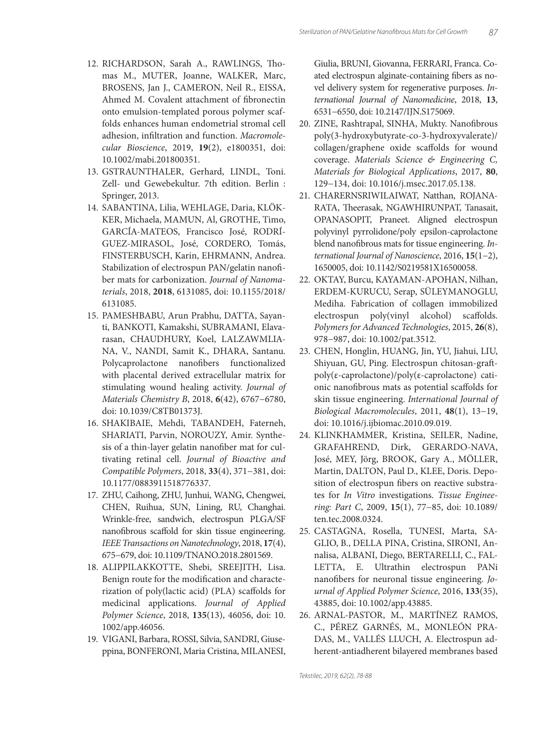- 12. RICHARDSON, Sarah A., RAWLINGS, Thomas M., MUTER, Joanne, WALKER, Marc, BROSENS, Jan J., CAMERON, Neil R., EISSA, Ahmed M. Covalent attachment of fibronectin onto emulsion-templated porous polymer scaffolds enhances human endometrial stromal cell adhesion, infiltration and function. Macromole*cular Bioscience*, 2019, **19**(2), e1800351, doi: 10.1002/mabi.201800351.
- 13. GSTRAUNTHALER, Gerhard, LINDL, Toni. Zell- und Gewebekultur. 7th edition. Berlin : Springer, 2013.
- 14. SABANTINA, Lilia, WEHLAGE, Daria, KLÖK-KER, Michaela, MAMUN, Al, GROTHE, Timo, GARCÍA-MATEOS, Francisco José, RODRÍ-GUEZ-MIRASOL, José, CORDERO, Tomás, FINSTERBUSCH, Karin, EHRMANN, Andrea. Stabilization of electrospun PAN/gelatin nanofi ber mats for carbonization. *Journal of Nanomaterials*, 2018, **2018**, 6131085, doi: 10.1155/2018/ 6131085.
- 15. PAMESHBABU, Arun Prabhu, DATTA, Sayanti, BANKOTI, Kamakshi, SUBRAMANI, Elavarasan, CHAUDHURY, Koel, LALZAWMLIA-NA, V., NANDI, Samit K., DHARA, Santanu. Polycaprolactone nanofibers functionalized with placental derived extracellular matrix for stimulating wound healing activity. *Journal of Materials Chemistry B*, 2018, **6**(42), 6767−6780, doi: 10.1039/C8TB01373J.
- 16. SHAKIBAIE, Mehdi, TABANDEH, Faterneh, SHARIATI, Parvin, NOROUZY, Amir. Synthesis of a thin-layer gelatin nanofiber mat for cultivating retinal cell. *Journal of Bioactive and Compatible Polymers*, 2018, **33**(4), 371−381, doi: 10.1177/0883911518776337.
- 17. ZHU, Caihong, ZHU, Junhui, WANG, Chengwei, CHEN, Ruihua, SUN, Lining, RU, Changhai. Wrinkle-free, sandwich, electrospun PLGA/SF nanofibrous scaffold for skin tissue engineering. *IEEE Transactions on Nanotechnology*, 2018, **17**(4), 675−679, doi: 10.1109/TNANO.2018.2801569.
- 18. ALIPPILAKKOTTE, Shebi, SREEJITH, Lisa. Benign route for the modification and characterization of poly(lactic acid) (PLA) scaffolds for medicinal applications. *Journal of Applied Polymer Science*, 2018, **135**(13), 46056, doi: 10. 1002/app.46056.
- 19. VIGANI, Barbara, ROSSI, Silvia, SANDRI, Giuseppina, BONFERONI, Maria Cristina, MILANESI,

Giulia, BRUNI, Giovanna, FERRARI, Franca. Coated electrospun alginate-containing fibers as novel delivery system for regenerative purposes. *International Journal of Nanomedicine*, 2018, **13**, 6531−6550, doi: 10.2147/IJN.S175069.

- 20. ZINE, Rashtrapal, SINHA, Mukty. Nanofibrous poly(3-hydroxybutyrate-co-3-hydroxyvalerate)/ collagen/graphene oxide scaffolds for wound coverage. *Materials Science & Engineering C, Materials for Biological Applications*, 2017, **80**, 129−134, doi: 10.1016/j.msec.2017.05.138.
- 21. CHARERNSRIWILAIWAT, Natthan, ROJANA-RATA, Theerasak, NGAWHIRUNPAT, Tanasait, OPANASOPIT, Praneet. Aligned electrospun polyvinyl pyrrolidone/poly epsilon-caprolactone blend nanofibrous mats for tissue engineering. *International Journal of Nanoscience*, 2016, **15**(1−2), 1650005, doi: 10.1142/S0219581X16500058.
- 22. OKTAY, Burcu, KAYAMAN-APOHAN, Nilhan, ERDEM-KURUCU, Serap, SÜLEYMANOGLU, Mediha. Fabrication of collagen immobilized electrospun poly(vinyl alcohol) scaffolds. *Polymers for Advanced Technologies*, 2015, **26**(8), 978−987, doi: 10.1002/pat.3512.
- 23. CHEN, Honglin, HUANG, Jin, YU, Jiahui, LIU, Shiyuan, GU, Ping. Electrospun chitosan-graft poly(ε-caprolactone)/poly(ε-caprolactone) cationic nanofibrous mats as potential scaffolds for skin tissue engineering. *International Journal of Biological Macromolecules*, 2011, **48**(1), 13−19, doi: 10.1016/j.ijbiomac.2010.09.019.
- 24. KLINKHAMMER, Kristina, SEILER, Nadine, GRAFAHREND, Dirk, GERARDO-NAVA, José, MEY, Jörg, BROOK, Gary A., MÖLLER, Martin, DALTON, Paul D., KLEE, Doris. Deposition of electrospun fibers on reactive substrates for *In Vitro* investigations. *Tissue Engineering: Part C*, 2009, **15**(1), 77−85, doi: 10.1089/ ten.tec.2008.0324.
- 25. CASTAGNA, Rosella, TUNESI, Marta, SA-GLIO, B., DELLA PINA, Cristina, SIRONI, Annalisa, ALBANI, Diego, BERTARELLI, C., FAL-LETTA, E. Ultrathin electrospun PANi nanofibers for neuronal tissue engineering. *Journal of Applied Polymer Science*, 2016, **133**(35), 43885, doi: 10.1002/app.43885.
- 26. ARNAL-PASTOR, M., MARTÍNEZ RAMOS, C., PÉREZ GARNÉS, M., MONLEÓN PRA-DAS, M., VALLÉS LLUCH, A. Electrospun adherent-antiadherent bilayered membranes based